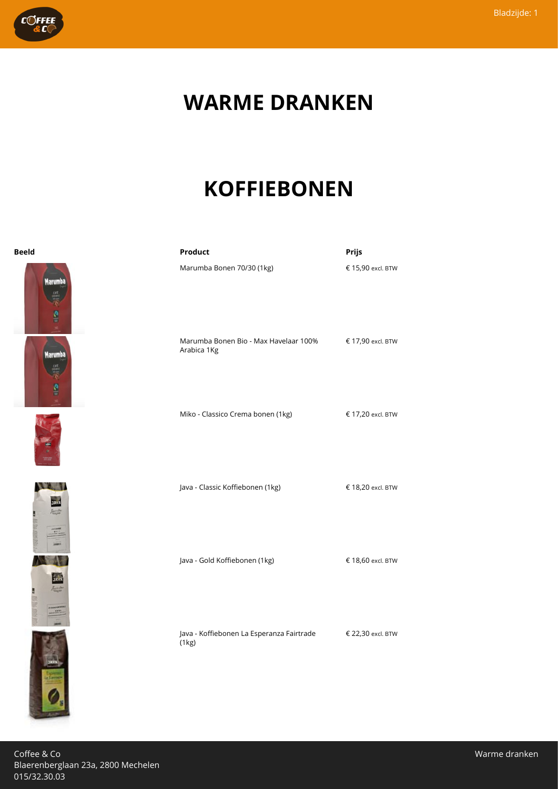

### **WARME DRANKEN**

# **KOFFIEBONEN**













| <b>Beeld</b> | Product                                              | Prijs             |
|--------------|------------------------------------------------------|-------------------|
| Marumba      | Marumba Bonen 70/30 (1kg)                            | € 15,90 excl. BTW |
| Aarumba      | Marumba Bonen Bio - Max Havelaar 100%<br>Arabica 1Kg | € 17,90 excl. BTW |
|              | Miko - Classico Crema bonen (1kg)                    | € 17,20 excl. BTW |
|              | Java - Classic Koffiebonen (1kg)                     | € 18,20 excl. BTW |
|              | Java - Gold Koffiebonen (1kg)                        | € 18,60 excl. BTW |
|              | Java - Koffiebonen La Esperanza Fairtrade<br>(1kg)   | € 22,30 excl. BTW |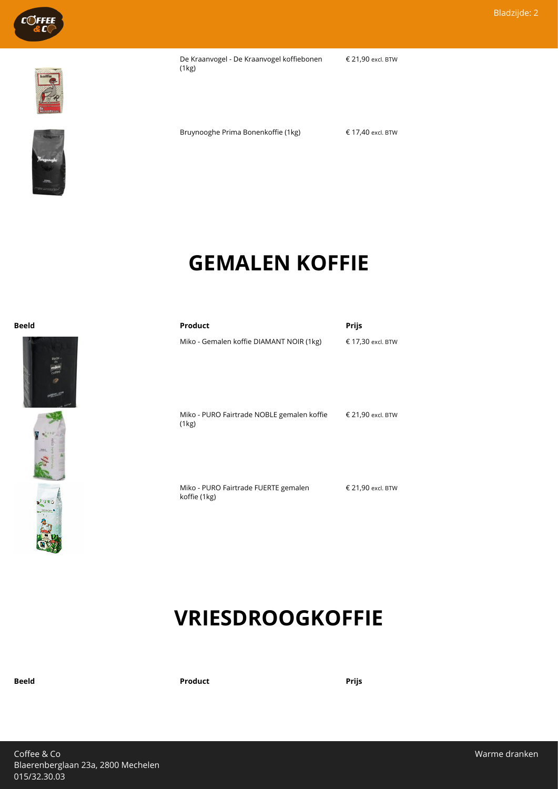

De Kraanvogel - De Kraanvogel koffiebonen (1kg)

€ 21,90 excl. BTW



 $\mathbf{B}$  .  $\begin{bmatrix} \mathbf{v}_0 \\ \mathbf{v}_1 \\ \mathbf{v}_2 \end{bmatrix}$ 

Bruynooghe Prima Bonenkoffie (1kg) € 17,40 excl. BTW

#### **GEMALEN KOFFIE**

| <b>Beeld</b> | Product                                             | <b>Prijs</b>      |
|--------------|-----------------------------------------------------|-------------------|
|              | Miko - Gemalen koffie DIAMANT NOIR (1kg)            | € 17,30 excl. BTW |
| $-2094$      | Miko - PURO Fairtrade NOBLE gemalen koffie<br>(1kg) | € 21,90 excl. BTW |

Miko - PURO Fairtrade FUERTE gemalen koffie (1kg) € 21,90 excl. BTW

#### **VRIESDROOGKOFFIE**

**Beeld Product Prijs**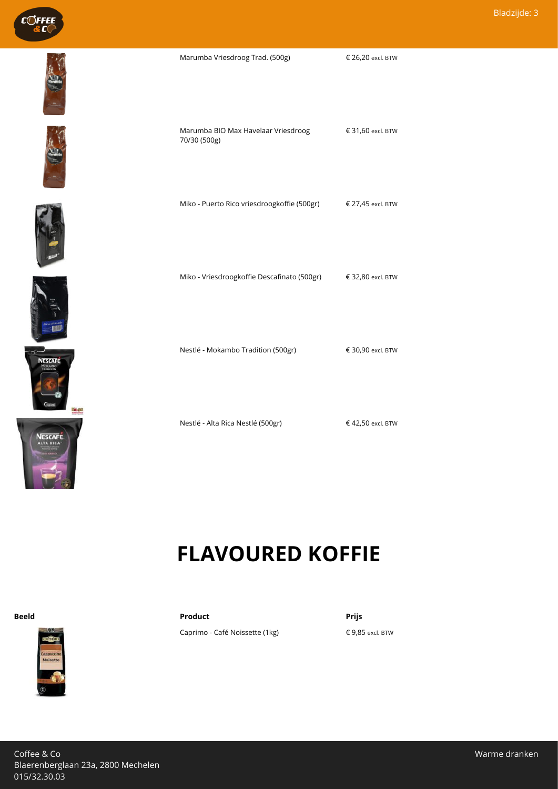













| Marumba BIO Max Havelaar Vriesdroog<br>70/30 (500g) | € 31,60 excl. BTW |
|-----------------------------------------------------|-------------------|
| Miko - Puerto Rico vriesdroogkoffie (500gr)         | € 27,45 excl. BTW |
| Miko - Vriesdroogkoffie Descafinato (500gr)         | € 32,80 excl. BTW |
| Nestlé - Mokambo Tradition (500gr)                  | € 30,90 excl. BTW |
|                                                     |                   |

Marumba Vriesdroog Trad. (500g) € 26,20 excl. BTW

Nestlé - Alta Rica Nestlé (500gr) € 42,50 excl. BTW

# **FLAVOURED KOFFIE**



**Beeld Product Prijs**

Caprimo - Café Noissette (1kg) € 9,85 excl. BTW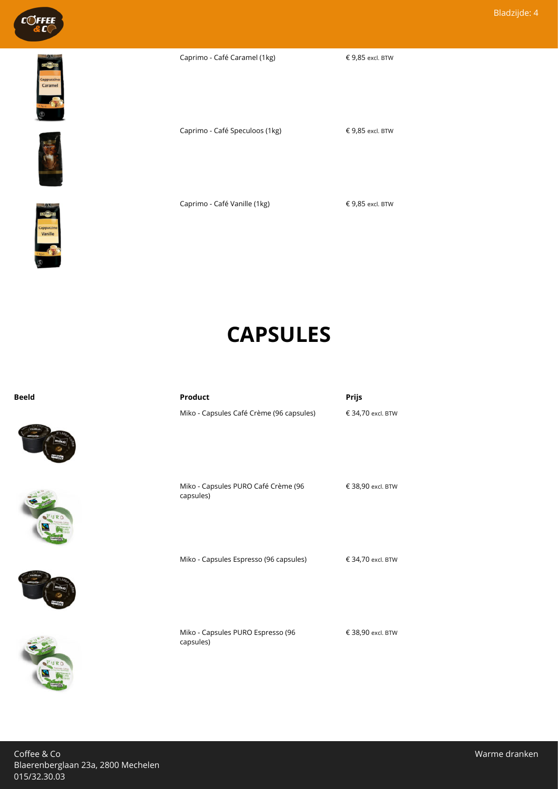

Caprimo - Café Caramel (1kg) € 9,85 excl. BTW







Caprimo - Café Vanille (1kg) € 9,85 excl. BTW

### **CAPSULES**

Caprimo - Café Speculoos (1kg) € 9,85 excl. BTW

**Beeld Product Prijs**









| Miko - Capsules Café Crème (96 capsules)         | € 34,70 excl. BTW |
|--------------------------------------------------|-------------------|
| Miko - Capsules PURO Café Crème (96<br>capsules) | € 38,90 excl. BTW |
| Miko - Capsules Espresso (96 capsules)           | € 34,70 excl. BTW |
|                                                  |                   |

Miko - Capsules PURO Espresso (96 capsules)

€ 38,90 excl. BTW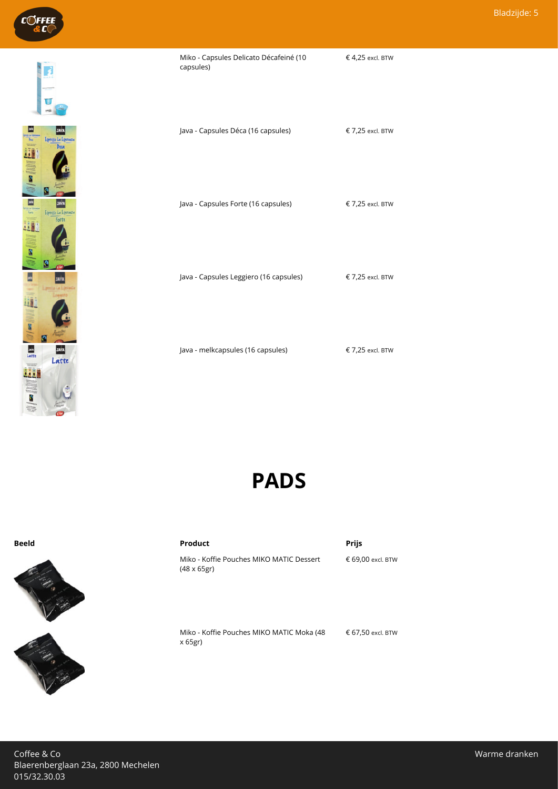

| Java - Capsules Déca (16 capsules)     | € 7,25 excl. BTW |
|----------------------------------------|------------------|
| Java - Capsules Forte (16 capsules)    | € 7,25 excl. BTW |
| Java - Capsules Leggiero (16 capsules) | € 7,25 excl. BTW |
| Java - melkcapsules (16 capsules)      | € 7,25 excl. BTW |

Miko - Capsules Delicato Décafeiné (10

capsules)

**PADS**



**Beeld Product Prijs**

Miko - Koffie Pouches MIKO MATIC Dessert (48 x 65gr)

€ 69,00 excl. BTW

€ 4,25 excl. BTW

Miko - Koffie Pouches MIKO MATIC Moka (48 x 65gr) € 67,50 excl. BTW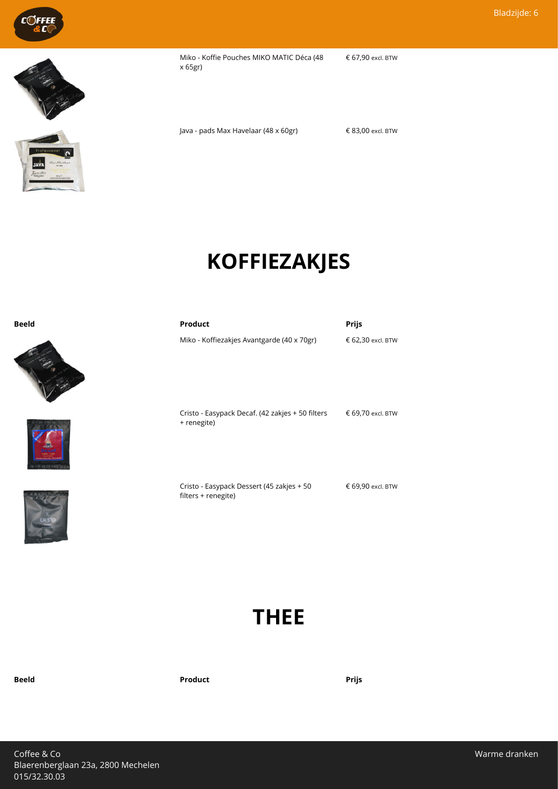





Miko - Koffie Pouches MIKO MATIC Déca (48 x 65gr) € 67,90 excl. BTW

Java - pads Max Havelaar (48 x 60gr) € 83,00 excl. BTW

# **KOFFIEZAKJES**

| <b>Beeld</b> | Product                                                         | Prijs             |
|--------------|-----------------------------------------------------------------|-------------------|
|              | Miko - Koffiezakjes Avantgarde (40 x 70gr)                      | € 62,30 excl. BTW |
|              | Cristo - Easypack Decaf. (42 zakjes + 50 filters<br>+ renegite) | € 69,70 excl. BTW |

Cristo - Easypack Dessert (45 zakjes + 50 filters + renegite)

**THEE**

**Beeld Product Prijs**

€ 69,90 excl. BTW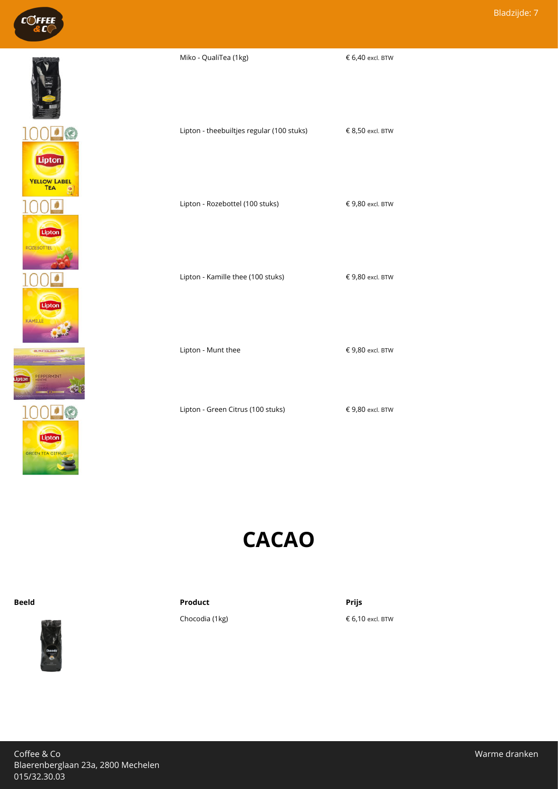





| Lipton - theebuiltjes regular (100 stuks) | € 8,50 excl. BTW |
|-------------------------------------------|------------------|
| Lipton - Rozebottel (100 stuks)           | € 9,80 excl. BTW |
| Lipton - Kamille thee (100 stuks)         | € 9,80 excl. BTW |

Miko - QualiTea (1kg)  $6,40$  excl. BTW

Lipton - Munt thee  $\epsilon$  9,80 excl. BTW

Lipton - Green Citrus (100 stuks) € 9,80 excl. BTW

#### **CACAO**



**Beeld Product Prijs**

Chocodia (1kg)  $6,10$  excl. BTW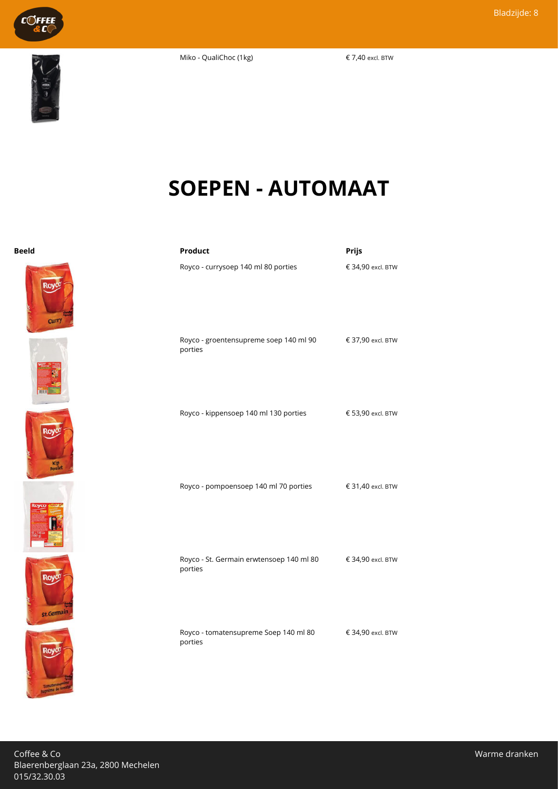Miko - QualiChoc (1kg)  $\epsilon$  7,40 excl. BTW



C©FFEE

# **SOEPEN - AUTOMAAT**













| Beeld                       | Product                                             | Prijs             |
|-----------------------------|-----------------------------------------------------|-------------------|
| <b>Curry</b>                | Royco - currysoep 140 ml 80 porties                 | € 34,90 excl. BTW |
|                             | Royco - groentensupreme soep 140 ml 90<br>porties   | € 37,90 excl. BTW |
| R٥١<br><b>Kip</b><br>poulet | Royco - kippensoep 140 ml 130 porties               | € 53,90 excl. BTW |
|                             | Royco - pompoensoep 140 ml 70 porties               | € 31,40 excl. BTW |
| Roy<br><b>St.Germain</b>    | Royco - St. Germain erwtensoep 140 ml 80<br>porties | € 34,90 excl. BTW |
| <b>Roy</b>                  | Royco - tomatensupreme Soep 140 ml 80<br>porties    | € 34,90 excl. BTW |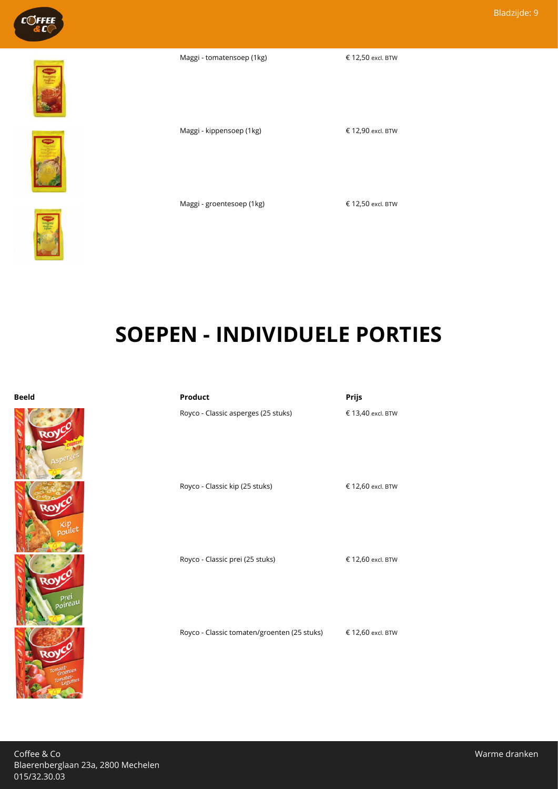

Maggi - tomatensoep (1kg)  $\epsilon$  12,50 excl. BTW







Maggi - kippensoep (1kg) € 12,90 excl. BTW

Maggi - groentesoep (1kg) € 12,50 excl. BTW

# **SOEPEN - INDIVIDUELE PORTIES**



#### **Beeld Product Prijs**

Royco - Classic asperges (25 stuks) € 13,40 excl. BTW

Royco - Classic kip (25 stuks) € 12,60 excl. BTW

Royco - Classic prei (25 stuks) € 12,60 excl. BTW

Royco - Classic tomaten/groenten (25 stuks) € 12,60 excl. BTW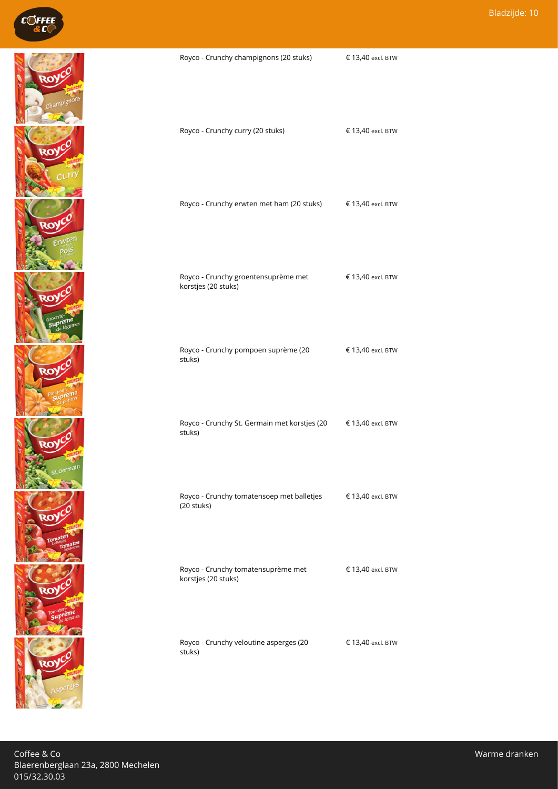

| Royco - Crunchy champignons (20 stuks)                                    | € 13,40 excl. BTW |
|---------------------------------------------------------------------------|-------------------|
| Royco - Crunchy curry (20 stuks)                                          | € 13,40 excl. BTW |
| Royco - Crunchy erwten met ham (20 stuks) € 13,40 excl. BTW               |                   |
| Royco - Crunchy groentensuprème met<br>korstjes (20 stuks)                | € 13,40 excl. BTW |
| Royco - Crunchy pompoen suprème (20<br>stuks)                             | € 13,40 excl. BTW |
| Royco - Crunchy St. Germain met korstjes (20 € 13,40 excl. BTW<br>stuks)  |                   |
| Royco - Crunchy tomatensoep met balletjes € 13,40 excl. BTW<br>(20 stuks) |                   |
| Royco - Crunchy tomatensuprème met<br>korstjes (20 stuks)                 | € 13,40 excl. BTW |
| Royco - Crunchy veloutine asperges (20<br>stuks)                          | € 13,40 excl. BTW |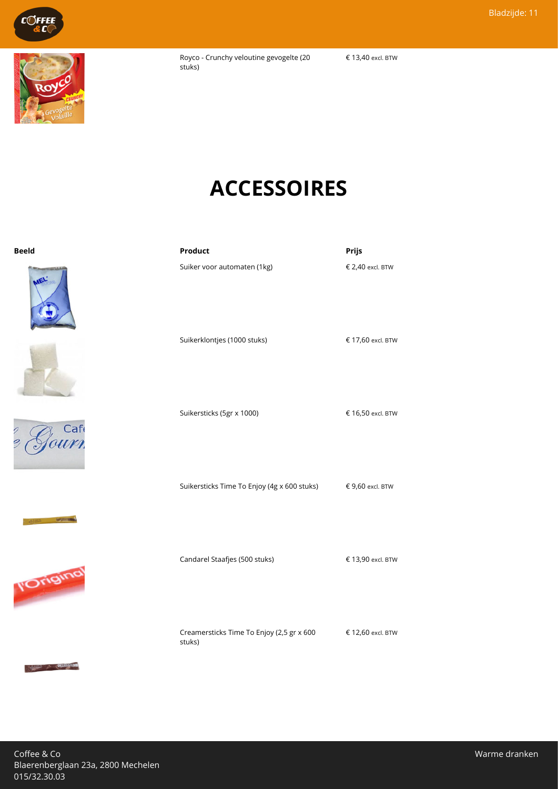

€ 13,40 excl. BTW

# **ACCESSOIRES**

Suiker voor automaten (1kg) € 2,40 excl. BTW

| Beeld | Product | Prijs |
|-------|---------|-------|
|       |         |       |











 $\begin{picture}(20,10) \put(0,0){\vector(0,1){30}} \put(15,0){\vector(0,1){30}} \put(15,0){\vector(0,1){30}} \put(15,0){\vector(0,1){30}} \put(15,0){\vector(0,1){30}} \put(15,0){\vector(0,1){30}} \put(15,0){\vector(0,1){30}} \put(15,0){\vector(0,1){30}} \put(15,0){\vector(0,1){30}} \put(15,0){\vector(0,1){30}} \put(15,0){\vector(0,1){30}} \put(15,0){\vector(0$ 

| Suikerklontjes (1000 stuks)                 |
|---------------------------------------------|
| Suikersticks (5gr x 1000)                   |
| Suikersticks Time To Enjoy (4g x 600 stuks) |
| Candarel Staafjes (500 stuks)               |

Creamersticks Time To Enjoy (2,5 gr x 600 stuks)

 $€ 13,90$  excl. BTW

 $€ 17,60$  excl. BTW

€ 16,50 excl. BTW

€ 9,60 excl. BTW

€ 12,60 excl. BTW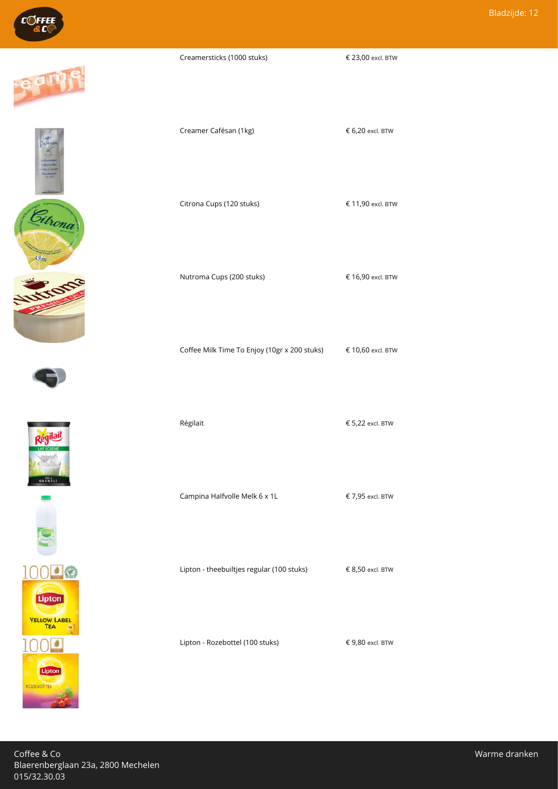













Creamersticks (1000 stuks) € 23,00 excl. BTW

Creamer Cafésan (1kg) 6,20 excl. BTW

Citrona Cups (120 stuks) € 11,90 excl. BTW

Nutroma Cups (200 stuks) € 16,90 excl. BTW

Coffee Milk Time To Enjoy (10gr x 200 stuks) € 10,60 excl. BTW

Campina Halfvolle Melk 6 x 1L  $\epsilon$  7,95 excl. BTW

Lipton - theebuiltjes regular (100 stuks) € 8,50 excl. BTW

Lipton - Rozebottel (100 stuks) € 9,80 excl. BTW

 $\angle$  Régilait  $\angle$  5,22 excl. BTW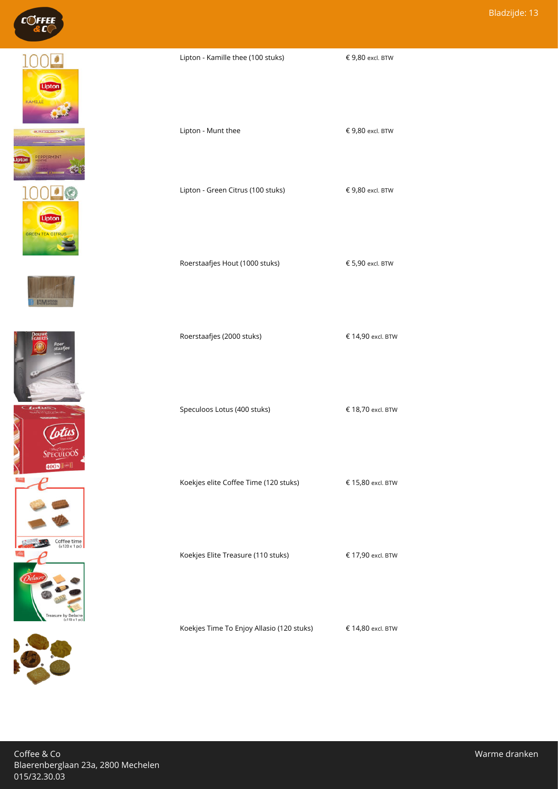











 $\epsilon$  9,80 excl. BTW

Lipton - Munt thee  $\epsilon$  9,80 excl. BTW

Lipton - Green Citrus (100 stuks) € 9,80 excl. BTW

Roerstaafjes Hout (1000 stuks)  $65,90$  excl. BTW

Roerstaafjes (2000 stuks) € 14,90 excl. BTW

Speculoos Lotus (400 stuks) € 18,70 excl. BTW

Koekjes elite Coffee Time (120 stuks) € 15,80 excl. BTW

Koekjes Elite Treasure (110 stuks) € 17,90 excl. BTW

Koekjes Time To Enjoy Allasio (120 stuks) € 14,80 excl. BTW